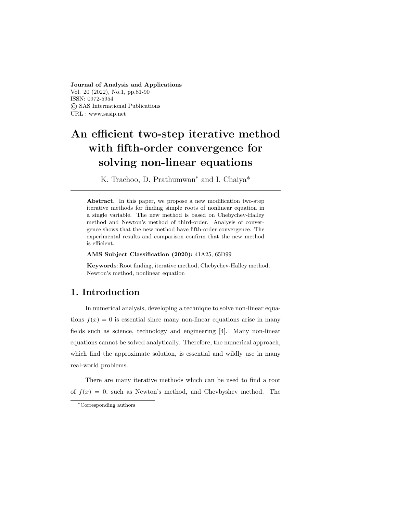#### Journal of Analysis and Applications

Vol. 20 (2022), No.1, pp.81-90 ISSN: 0972-5954 © SAS International Publications URL : www.sasip.net

# An efficient two-step iterative method with fifth-order convergence for solving non-linear equations

K. Trachoo, D. Prathumwan\* and I. Chaiya\*

Abstract. In this paper, we propose a new modification two-step iterative methods for finding simple roots of nonlinear equation in a single variable. The new method is based on Chebychev-Halley method and Newton's method of third-order. Analysis of convergence shows that the new method have fifth-order convergence. The experimental results and comparison confirm that the new method is efficient.

#### AMS Subject Classification (2020): 41A25, 65D99

Keywords: Root finding, iterative method, Chebychev-Halley method, Newton's method, nonlinear equation

#### 1. Introduction

In numerical analysis, developing a technique to solve non-linear equations  $f(x) = 0$  is essential since many non-linear equations arise in many fields such as science, technology and engineering [4]. Many non-linear equations cannot be solved analytically. Therefore, the numerical approach, which find the approximate solution, is essential and wildly use in many real-world problems.

There are many iterative methods which can be used to find a root of  $f(x) = 0$ , such as Newton's method, and Chevbyshev method. The

<sup>\*</sup>Corresponding authors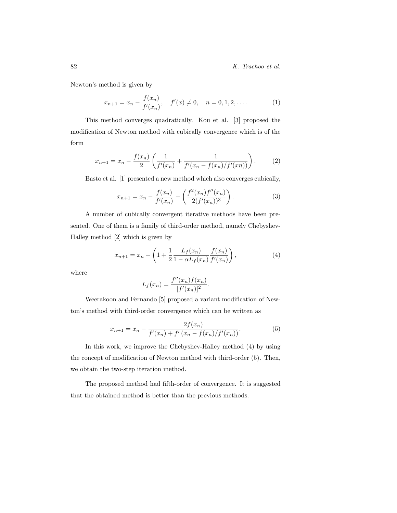Newton's method is given by

$$
x_{n+1} = x_n - \frac{f(x_n)}{f'(x_n)}, \quad f'(x) \neq 0, \quad n = 0, 1, 2, \dots
$$
 (1)

This method converges quadratically. Kou et al. [3] proposed the modification of Newton method with cubically convergence which is of the form

$$
x_{n+1} = x_n - \frac{f(x_n)}{2} \left( \frac{1}{f'(x_n)} + \frac{1}{f'(x_n - f(x_n)/f'(x_n))} \right). \tag{2}
$$

Basto et al. [1] presented a new method which also converges cubically,

$$
x_{n+1} = x_n - \frac{f(x_n)}{f'(x_n)} - \left(\frac{f^2(x_n)f''(x_n)}{2(f'(x_n))^3}\right).
$$
 (3)

A number of cubically convergent iterative methods have been presented. One of them is a family of third-order method, namely Chebyshev-Halley method [2] which is given by

$$
x_{n+1} = x_n - \left(1 + \frac{1}{2} \frac{L_f(x_n)}{1 - \alpha L_f(x_n)} \frac{f(x_n)}{f'(x_n)}\right),\tag{4}
$$

where

$$
L_f(x_n) = \frac{f''(x_n)f(x_n)}{[f'(x_n)]^2}.
$$

Weerakoon and Fernando [5] proposed a variant modification of Newton's method with third-order convergence which can be written as

$$
x_{n+1} = x_n - \frac{2f(x_n)}{f'(x_n) + f'(x_n - f(x_n)/f'(x_n))}.
$$
 (5)

In this work, we improve the Chebyshev-Halley method (4) by using the concept of modification of Newton method with third-order (5). Then, we obtain the two-step iteration method.

The proposed method had fifth-order of convergence. It is suggested that the obtained method is better than the previous methods.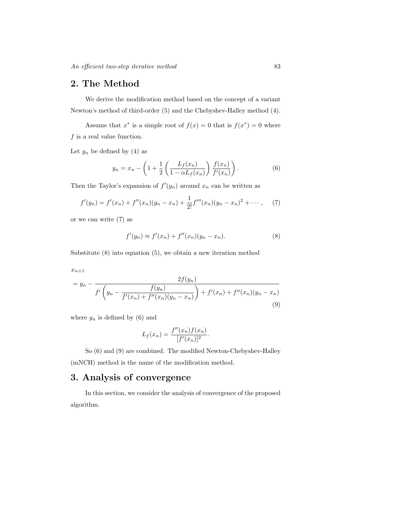### 2. The Method

We derive the modification method based on the concept of a variant Newton's method of third-order (5) and the Chebyshev-Halley method (4).

Assume that  $x^*$  is a simple root of  $f(x) = 0$  that is  $f(x^*) = 0$  where  $f$  is a real value function.

Let  $y_n$  be defined by (4) as

$$
y_n = x_n - \left(1 + \frac{1}{2} \left( \frac{L_f(x_n)}{1 - \alpha L_f(x_n)} \right) \frac{f(x_n)}{f'(x_n)} \right).
$$
 (6)

Then the Taylor's expansion of  $f'(y_n)$  around  $x_n$  can be written as

$$
f'(y_n) = f'(x_n) + f''(x_n)(y_n - x_n) + \frac{1}{2!}f'''(x_n)(y_n - x_n)^2 + \cdots,
$$
 (7)

or we can write (7) as

$$
f'(y_n) \approx f'(x_n) + f''(x_n)(y_n - x_n).
$$
 (8)

Substitute (8) into equation (5), we obtain a new iteration method

$$
x_{n+1}
$$

$$
= y_n - \frac{2f(y_n)}{f'\left(y_n - \frac{f(y_n)}{f'(x_n) + f''(x_n)(y_n - x_n)}\right) + f'(x_n) + f''(x_n)(y_n - x_n)}
$$
\n(9)

where  $y_n$  is defined by (6) and

$$
L_f(x_n) = \frac{f''(x_n)f(x_n)}{[f'(x_n)]^2}.
$$

So (6) and (9) are combined. The modified Newton-Chebyshev-Halley (mNCH) method is the name of the modification method.

## 3. Analysis of convergence

In this section, we consider the analysis of convergence of the proposed algorithm.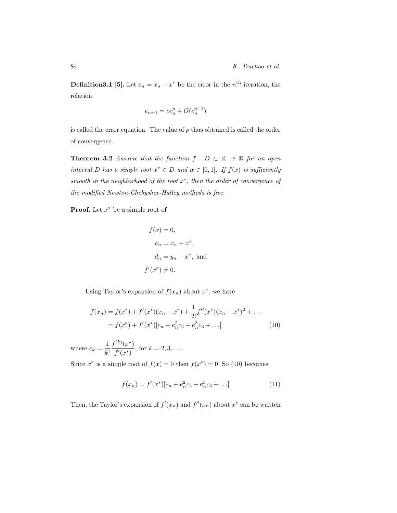**Definition3.1** [5]. Let  $e_n = x_n - x^*$  be the error in the  $n^{\text{th}}$  iteration, the relation

$$
e_{n+1} = ce_n^p + O(e_n^{p+1})
$$

is called the error equation. The value of  $p$  thus obtained is called the order of convergence.

**Theorem 3.2** Assume that the function  $f : D \subset \mathbb{R} \to \mathbb{R}$  for an open interval D has a simple root  $x^* \in D$  and  $\alpha \in [0,1]$ . If  $f(x)$  is sufficiently smooth in the neighborhood of the root  $x^*$ , then the order of convergence of the modified Newton-Chebyshev-Halley methods is five.

**Proof.** Let  $x^*$  be a simple root of

$$
f(x) = 0,
$$
  
\n
$$
e_n = x_n - x^*,
$$
  
\n
$$
d_n = y_n - x^*,
$$
 and  
\n
$$
f'(x^*) \neq 0.
$$

Using Taylor's expansion of  $f(x_n)$  about  $x^*$ , we have

$$
f(x_n) = f(x^*) + f'(x^*)(x_n - x^*) + \frac{1}{2!}f''(x^*)(x_n - x^*)^2 + \dots
$$
  
=  $f(x^*) + f'(x^*)[e_n + e_n^2c_2 + e_n^3c_3 + \dots]$  (10)

where  $c_k = \frac{1}{k}$  $k!$  $f^{(k)}(x^*)$  $\frac{d^{(k)}(x)}{f'(x^*)}$ , for  $k = 2, 3, \ldots$ 

Since  $x^*$  is a simple root of  $f(x) = 0$  then  $f(x^*) = 0$ . So (10) becomes

$$
f(x_n) = f'(x^*)[e_n + e_n^2 c_2 + e_n^3 c_3 + \dots]
$$
 (11)

Then, the Taylor's expansion of  $f'(x_n)$  and  $f''(x_n)$  about  $x^*$  can be written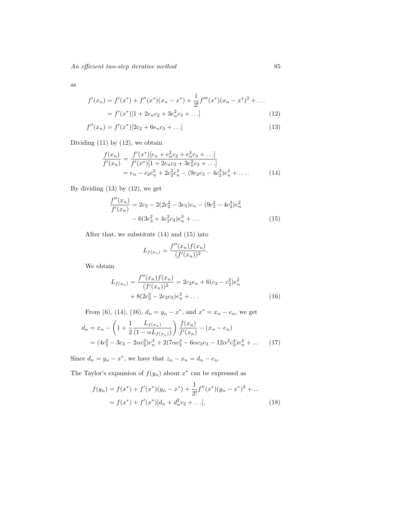An efficient two-step iterative method 85

as

$$
f'(x_n) = f'(x^*) + f''(x^*)(x_n - x^*) + \frac{1}{2!}f'''(x^*)(x_n - x^*)^2 + \dots
$$
  
=  $f'(x^*)[1 + 2e_n c_2 + 3e_n^2 c_3 + \dots]$  (12)

$$
f''(x_n) = f'(x^*)[2c_2 + 6e_n c_3 + \dots]
$$
\n(13)

Dividing  $(11)$  by  $(12)$ , we obtain

$$
\frac{f(x_n)}{f'(x_n)} = \frac{f'(x^*)[e_n + e_n^2 c_2 + e_n^3 c_3 + \dots]}{f'(x^*)[1 + 2e_n c_2 + 3e_n^2 c_3 + \dots]}
$$
  
=  $e_n - c_2 e_n^2 + 2c_2^2 e_n^3 - (9c_2 c_3 - 4c_2^3) e_n^4 + \dots$  (14)

By dividing  $(13)$  by  $(12)$ , we get

$$
\frac{f''(x_n)}{f'(x_n)} = 2c_2 - 2(2c_2^2 - 3c_3)e_n - (9c_3^2 - 4c_2^3)e_n^2 - 6(3c_3^2 + 4c_2^2c_3)e_n^3 + \dots
$$
\n(15)

After that, we substitute (14) and (15) into

$$
L_{f(x_n)} = \frac{f''(x_n)f(x_n)}{(f'(x_n))^2}.
$$

We obtain

$$
L_{f(x_n)} = \frac{f''(x_n)f(x_n)}{(f'(x_n))^2} = 2c_2e_n + 6(c_3 - c_2^2)e_n^2
$$
  
+ 8(2c\_2^3 - 2c\_2c\_3)e\_n^3 + ... (16)

From (6), (14), (16),  $d_n = y_n - x^*$ , and  $x^* = x_n - e_n$ , we get

$$
d_n = x_n - \left(1 + \frac{1}{2} \frac{L_{f(x_n)}}{(1 - \alpha L_{f(x_n)})}\right) \frac{f(x_n)}{f'(x_n)} - (x_n - e_n)
$$
  
=  $(4c_2^2 - 3c_3 - 2\alpha c_2^2)e_n^3 + 2(7\alpha c_2^3 - 6\alpha c_2 c_3 - 12\alpha^2 c_2^4)e_n^4 + \dots$  (17)

Since  $d_n = y_n - x^*$ , we have that  $z_n - x_n = d_n - e_n$ .

The Taylor's expansion of  $f(y_n)$  about  $x^*$  can be expressed as

$$
f(y_n) = f(x^*) + f'(x^*)(y_n - x^*) + \frac{1}{2!}f''(x^*)(y_n - x^*)^2 + \dots
$$
  
=  $f(x^*) + f'(x^*)[d_n + d_n^2c_2 + \dots],$  (18)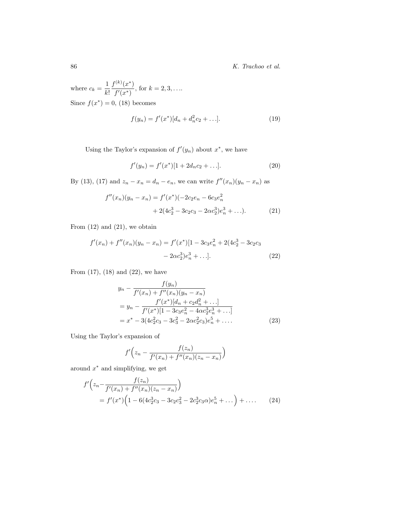86 K. Trachoo et al.

where  $c_k = \frac{1}{k}$ k!  $f^{(k)}(x^*)$  $\frac{d^{(k)}(x)}{f'(x^*)}$ , for  $k = 2, 3, \ldots$ Since  $f(x^*) = 0$ , (18) becomes

$$
f(y_n) = f'(x^*)[d_n + d_n^2 c_2 + \ldots].
$$
 (19)

Using the Taylor's expansion of  $f'(y_n)$  about  $x^*$ , we have

$$
f'(y_n) = f'(x^*)[1 + 2d_n c_2 + \dots].
$$
 (20)

By (13), (17) and  $z_n - x_n = d_n - e_n$ , we can write  $f''(x_n)(y_n - x_n)$  as

$$
f''(x_n)(y_n - x_n) = f'(x^*)(-2c_2e_n - 6c_3e_n^2 + 2(4c_2^3 - 3c_2c_3 - 2\alpha c_2^3)e_n^3 + \dots).
$$
 (21)

From  $(12)$  and  $(21)$ , we obtain

$$
f'(x_n) + f''(x_n)(y_n - x_n) = f'(x^*)[1 - 3c_3e_n^2 + 2(4c_2^3 - 3c_2c_3 - 2\alpha c_2^3)e_n^3 + \dots].
$$
\n(22)

From  $(17)$ ,  $(18)$  and  $(22)$ , we have

$$
y_n - \frac{f(y_n)}{f'(x_n) + f''(x_n)(y_n - x_n)}
$$
  
=  $y_n - \frac{f'(x^*)[d_n + c_2 d_n^2 + \dots]}{f'(x^*)[1 - 3c_3 e_n^2 - 4\alpha c_2^3 e_n^3 + \dots]}$   
=  $x^* - 3(4c_2^2 c_3 - 3c_3^2 - 2\alpha c_2^2 c_3)e_n^5 + \dots$  (23)

Using the Taylor's expansion of

$$
f'\Big(z_n - \frac{f(z_n)}{f'(x_n) + f''(x_n)(z_n - x_n)}\Big)
$$

around  $x^*$  and simplifying, we get

$$
f'\left(z_n - \frac{f(z_n)}{f'(x_n) + f''(x_n)(z_n - x_n)}\right)
$$
  
=  $f'(x^*)\left(1 - 6(4c_2^3c_3 - 3c_2c_3^2 - 2c_2^3c_3\alpha)e_n^5 + \dots\right) + \dots$  (24)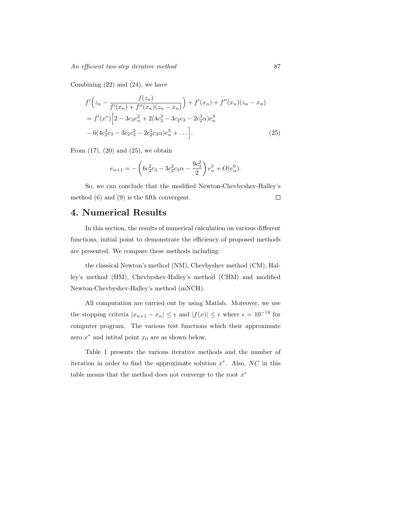Combining (22) and (24), we have

$$
f'\left(z_n - \frac{f(z_n)}{f'(x_n) + f''(x_n)(z_n - x_n)}\right) + f'(x_n) + f''(x_n)(z_n - x_n)
$$
  
=  $f'(x^*) \left[2 - 3c_3e_n^2 + 2(4c_2^3 - 3c_2c_3 - 2c_2^3\alpha)e_n^3 - 6(4c_2^3c_3 - 3c_2c_3^2 - 2c_2^3c_3\alpha)e_n^5 + \dots\right].$  (25)

From  $(17)$ ,  $(20)$  and  $(25)$ , we obtain

$$
e_{n+1} = -\left(6c_2^2c_3 - 3c_2^2c_3\alpha - \frac{9c_3^2}{2}\right)e_n^5 + O(e_n^6).
$$

So, we can conclude that the modified Newton-Chevbyshev-Halley's method (6) and (9) is the fifth convergent.  $\Box$ 

## 4. Numerical Results

In this section, the results of numerical calculation on various different functions, initial point to demonstrate the efficiency of proposed methods are presented. We compare these methods including:

the classical Newton's method (NM), Chevbyshev method (CM), Halley's method (HM), Chevbyshev-Halley's method (CHM) and modified Newton-Chevbyshev-Halley's method (mNCH).

All computation are carried out by using Matlab. Moreover, we use the stopping criteria  $|x_{n+1} - x_n| \leq \epsilon$  and  $|f(x)| \leq \epsilon$  where  $\epsilon = 10^{-14}$  for computer program. The various test functions which their approximate zero  $x^*$  and intital point  $x_0$  are as shown below.

Table 1 presents the various iterative methods and the number of iteration in order to find the approximate solution  $x^*$ . Also, NC in this table means that the method does not converge to the root  $x^*$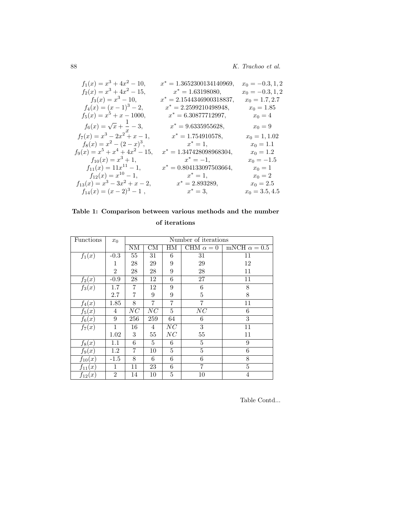88 K. Trachoo et al.

| $f_1(x) = x^3 + 4x^2 - 10,$            | $x^* = 1.3652300134140969,$ | $x_0 = -0.3, 1, 2$ |
|----------------------------------------|-----------------------------|--------------------|
| $f_2(x) = x^3 + 4x^2 - 15,$            | $x^* = 1.63198080,$         | $x_0 = -0.3, 1, 2$ |
| $f_3(x) = x^3 - 10,$                   | $x^* = 2.1544346900318837,$ | $x_0 = 1.7, 2.7$   |
| $f_4(x) = (x-1)^3 - 2,$                | $x^* = 2.2599210498948,$    | $x_0 = 1.85$       |
| $f_5(x) = x^5 + x - 1000,$             | $x^* = 6.30877712997,$      | $x_0=4$            |
| $f_6(x) = \sqrt{x} + \frac{1}{x} - 3,$ | $x^* = 9.6335955628,$       | $x_0 = 9$          |
| $f_7(x) = x^3 - 2x^2 + x - 1,$         | $x^* = 1.754910578,$        | $x_0 = 1, 1.02$    |
| $f_8(x) = x^2 - (2 - x)^3$ ,           | $x^* = 1,$                  | $x_0 = 1.1$        |
| $f_9(x) = x^5 + x^4 + 4x^2 - 15$ ,     | $x^* = 1.347428098968304,$  | $x_0 = 1.2$        |
| $f_{10}(x) = x^3 + 1,$                 | $x^* = -1,$                 | $x_0 = -1.5$       |
| $f_{11}(x) = 11x^{11} - 1,$            | $x^* = 0.804133097503664,$  | $x_0 = 1$          |
| $f_{12}(x) = x^{10} - 1,$              | $x^* = 1$ ,                 | $x_0 = 2$          |
| $f_{13}(x) = x^3 - 3x^2 + x - 2,$      | $x^* = 2.893289,$           | $x_0 = 2.5$        |
| $f_{14}(x) = (x-2)^3 - 1$ ,            | $x^* = 3,$                  | $x_0 = 3.5, 4.5$   |

# Table 1: Comparison between various methods and the number

of iterations

| Functions   | $x_0$          | Number of iterations |                        |    |                  |                     |  |
|-------------|----------------|----------------------|------------------------|----|------------------|---------------------|--|
|             |                | NΜ                   | $\overline{\text{CM}}$ | HМ | CHM $\alpha = 0$ | mNCH $\alpha = 0.5$ |  |
| $f_1(x)$    | $-0.3$         | $55\,$               | 31                     | 6  | 31               | 11                  |  |
|             | 1              | 28                   | 29                     | 9  | 29               | 12                  |  |
|             | $\overline{2}$ | 28                   | 28                     | 9  | 28               | 11                  |  |
| $f_2(x)$    | $-0.9$         | 28                   | 12                     | 6  | 27               | 11                  |  |
| $f_3(x)$    | 1.7            | $\overline{7}$       | 12                     | 9  | $\,6$            | 8                   |  |
|             | 2.7            | 7                    | 9                      | 9  | $\overline{5}$   | 8                   |  |
| $f_4(x)$    | 1.85           | 8                    | 7                      | 7  | 7                | 11                  |  |
| $f_5(x)$    | 4              | NC                   | $\overline{NC}$        | 5  | $\overline{NC}$  | 6                   |  |
| $f_6(x)$    | 9              | 256                  | 259                    | 64 | 6                | 3                   |  |
| $f_7(x)$    | $\mathbf{1}$   | 16                   | 4                      | NC | $\overline{3}$   | 11                  |  |
|             | 1.02           | 3                    | 55                     | NC | 55               | 11                  |  |
| $f_8(x)$    | 1.1            | 6                    | 5                      | 6  | 5                | 9                   |  |
| $f_9(x)$    | 1.2            | $\overline{7}$       | 10                     | 5  | $\overline{5}$   | 6                   |  |
| $f_{10}(x)$ | $-1.5$         | 8                    | 6                      | 6  | 6                | 8                   |  |
| $f_{11}(x)$ | $\mathbf{1}$   | 11                   | 23                     | 6  | $\overline{7}$   | 5                   |  |
| $f_{12}(x)$ | $\overline{2}$ | 14                   | 10                     | 5  | 10               | $\overline{4}$      |  |

Table Contd...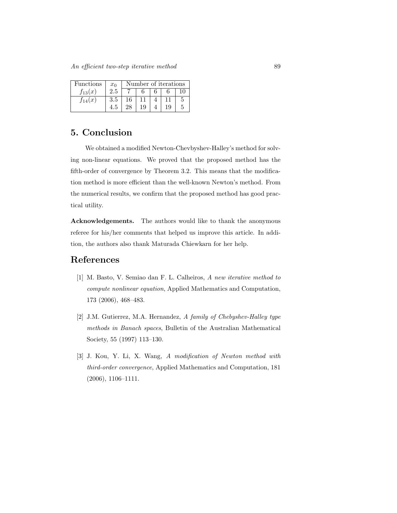| Functions   | $x_0$ | Number of iterations |    |  |    |  |  |
|-------------|-------|----------------------|----|--|----|--|--|
| $f_{13}(x)$ | 2.5   |                      |    |  |    |  |  |
| $f_{14}(x)$ | 3.5   | 16                   |    |  |    |  |  |
|             |       | 28                   | 19 |  | 19 |  |  |

## 5. Conclusion

We obtained a modified Newton-Chevbyshev-Halley's method for solving non-linear equations. We proved that the proposed method has the fifth-order of convergence by Theorem 3.2. This means that the modification method is more efficient than the well-known Newton's method. From the numerical results, we confirm that the proposed method has good practical utility.

Acknowledgements. The authors would like to thank the anonymous referee for his/her comments that helped us improve this article. In addition, the authors also thank Maturada Chiewkarn for her help.

#### References

- [1] M. Basto, V. Semiao dan F. L. Calheiros, A new iterative method to compute nonlinear equation, Applied Mathematics and Computation, 173 (2006), 468–483.
- [2] J.M. Gutierrez, M.A. Hernandez, A family of Chebyshev-Halley type methods in Banach spaces, Bulletin of the Australian Mathematical Society, 55 (1997) 113–130.
- [3] J. Kou, Y. Li, X. Wang, A modification of Newton method with third-order convergence, Applied Mathematics and Computation, 181 (2006), 1106–1111.